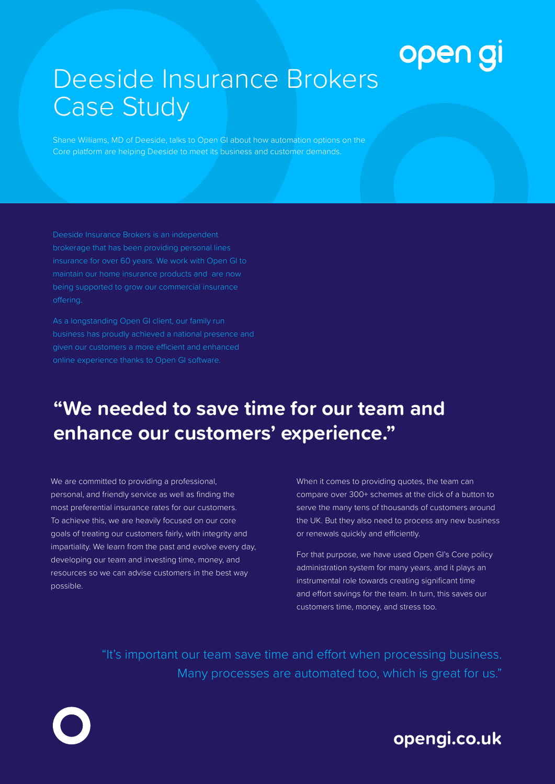# open gi

# Deeside Insurance Brokers Case Study

Shane Williams, MD of Deeside, talks to Open GI about how automation options on the Core platform are helping Deeside to meet its business and customer demands.

Deeside Insurance Brokers is an independent brokerage that has been providing personal lines insurance for over 60 years. We work with Open GI to maintain our home insurance products and are now

business has proudly achieved a national presence and given our customers a more efficient and enhanced

### **"We needed to save time for our team and enhance our customers' experience."**

We are committed to providing a professional, personal, and friendly service as well as finding the most preferential insurance rates for our customers. To achieve this, we are heavily focused on our core goals of treating our customers fairly, with integrity and impartiality. We learn from the past and evolve every day, developing our team and investing time, money, and resources so we can advise customers in the best way possible.

When it comes to providing quotes, the team can compare over 300+ schemes at the click of a button to serve the many tens of thousands of customers around the UK. But they also need to process any new business or renewals quickly and efficiently.

For that purpose, we have used Open GI's Core policy administration system for many years, and it plays an instrumental role towards creating significant time and effort savings for the team. In turn, this saves our customers time, money, and stress too.

"It's important our team save time and effort when processing business. Many processes are automated too, which is great for us."

#### **opengi.co.uk**